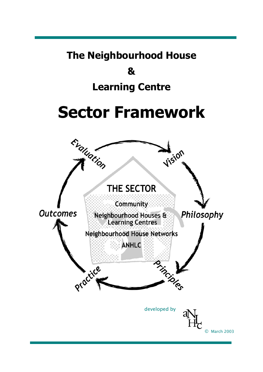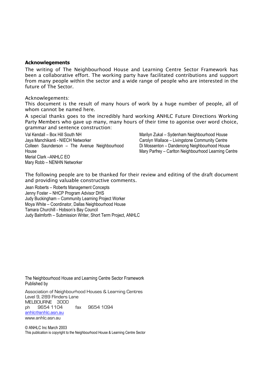#### **Acknowlegements**

The writing of The Neighbourhood House and Learning Centre Sector Framework has been a collaborative effort. The working party have facilitated contributions and support from many people within the sector and a wide range of people who are interested in the future of The Sector.

Acknowlegements:

This document is the result of many hours of work by a huge number of people, all of whom cannot be named here.

A special thanks goes to the incredibly hard working ANHLC Future Directions Working Party Members who gave up many, many hours of their time to agonise over word choice, grammar and sentence construction:

Val Kendall – Box Hill South NH Jaya Manchikanti - NIECH Networker Colleen Saunderson – The Avenue Neighbourhood House Merial Clark –ANHLC EO Mary Robb – NENHN Networker

Marilyn Zukal – Sydenham Neighbourhood House Carolyn Wallace – Livingstone Community Centre Di Mossenton – Dandenong Neighbourhood House Mary Parfrey – Carlton Neighbourhood Learning Centre

The following people are to be thanked for their review and editing of the draft document and providing valuable constructive comments.

Jean Roberts – Roberts Management Concepts Jenny Foster – NHCP Program Advisor DHS Judy Buckingham – Community Learning Project Worker Moya White – Coordinator, Dallas Neighbourhood House Tamara Churchill - Hobson's Bay Council Judy Balmforth – Submission Writer, Short Term Project, ANHLC

The Neighbourhood House and Learning Centre Sector Framework Published by

Association of Neighbourhood Houses & Learning Centres Level 9, 289 Flinders Lane MELBOURNE 3000<br>ph 9654 1104 ph 9654 1104 fax 9654 1094 [anhlc@anhlc.asn.au](mailto:anhlc@anhlc.asn.au) www.anhlc.asn.au

© ANHLC Inc March 2003 This publication is copyright to the Neighbourhood House & Learning Centre Sector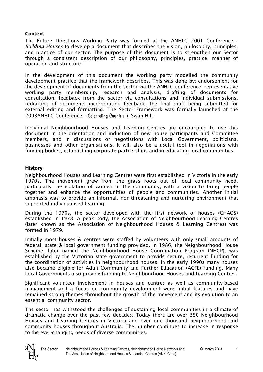# **Context**

The Future Directions Working Party was formed at the ANHLC 2001 Conference - *Building Houses* to develop a document that describes the vision, philosophy, principles, and practice of our sector. The purpose of this document is to strengthen our Sector through a consistent description of our philosophy, principles, practice, manner of operation and structure.

In the development of this document the working party modelled the community development practice that the framework describes. This was done by: endorsement for the development of documents from the sector via the ANHLC conference, representative working party membership, research and analysis, drafting of documents for consultation, feedback from the sector via consultations and individual submissions, redrafting of documents incorporating feedback, the final draft being submitted for external editing and formatting. The Sector Framework was formally launched at the 2003ANHLC Conference – Celebrating Country in Swan Hill.

Individual Neighbourhood Houses and Learning Centres are encouraged to use this document in the orientation and induction of new house participants and Committee members, and in discussions or negotiations with Local Government, politicians, businesses and other organisations. It will also be a useful tool in negotiations with funding bodies, establishing corporate partnerships and in educating local communities.

# **History**

Neighbourhood Houses and Learning Centres were first established in Victoria in the early 1970s. The movement grew from the grass roots out of local community need, particularly the isolation of women in the community, with a vision to bring people together and enhance the opportunities of people and communities. Another initial emphasis was to provide an informal, non-threatening and nurturing environment that supported individualised learning.

During the 1970s, the sector developed with the first network of houses (CHAOS) established in 1978. A peak body, the Association of Neighbourhood Learning Centres (later known as the Association of Neighbourhood Houses & Learning Centres) was formed in 1979.

Initially most houses & centres were staffed by volunteers with only small amounts of federal, state & local government funding provided. In 1986, the Neighbourhood House Scheme, later named the Neighbourhood House Coordination Program (NHCP), was established by the Victorian state government to provide secure, recurrent funding for the coordination of activities in neighbourhood houses. In the early 1990s many houses also became eligible for Adult Community and Further Education (ACFE) funding. Many Local Governments also provide funding to Neighbourhood Houses and Learning Centres.

Significant volunteer involvement in houses and centres as well as community-based management and a focus on community development were initial features and have remained strong themes throughout the growth of the movement and its evolution to an essential community sector.

The sector has withstood the challenges of sustaining local communities in a climate of dramatic change over the past few decades. Today there are over 350 Neighbourhood Houses and Learning Centres in Victoria and over one thousand neighbourhood and community houses throughout Australia. The number continues to increase in response to the ever-changing needs of diverse communities.

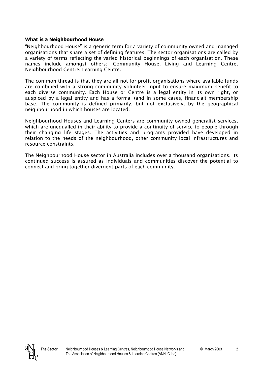### **What is a Neighbourhood House**

"Neighbourhood House" is a generic term for a variety of community owned and managed organisations that share a set of defining features. The sector organisations are called by a variety of terms reflecting the varied historical beginnings of each organisation. These names include amongst others:- Community House, Living and Learning Centre, Neighbourhood Centre, Learning Centre.

The common thread is that they are all not-for-profit organisations where available funds are combined with a strong community volunteer input to ensure maximum benefit to each diverse community. Each House or Centre is a legal entity in its own right, or auspiced by a legal entity and has a formal (and in some cases, financial) membership base. The community is defined primarily, but not exclusively, by the geographical neighbourhood in which houses are located.

Neighbourhood Houses and Learning Centers are community owned generalist services, which are unequalled in their ability to provide a continuity of service to people through their changing life stages. The activities and programs provided have developed in relation to the needs of the neighbourhood, other community local infrastructures and resource constraints.

The Neighbourhood House sector in Australia includes over a thousand organisations. Its continued success is assured as individuals and communities discover the potential to connect and bring together divergent parts of each community.

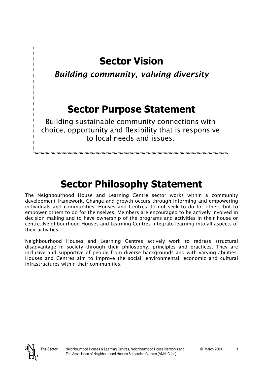# **Sector Vision**

*Building community, valuing diversity* 

# **Sector Purpose Statement**

Building sustainable community connections with choice, opportunity and flexibility that is responsive to local needs and issues.

# **Sector Philosophy Statement**

The Neighbourhood House and Learning Centre sector works within a community development framework. Change and growth occurs through informing and empowering individuals and communities. Houses and Centres do not seek to do for others but to empower others to do for themselves. Members are encouraged to be actively involved in decision making and to have ownership of the programs and activities in their house or centre. Neighbourhood Houses and Learning Centres integrate learning into all aspects of their activities.

Neighbourhood Houses and Learning Centres actively work to redress structural disadvantage in society through their philosophy, principles and practices. They are inclusive and supportive of people from diverse backgrounds and with varying abilities. Houses and Centres aim to improve the social, environmental, economic and cultural infrastructures within their communities.

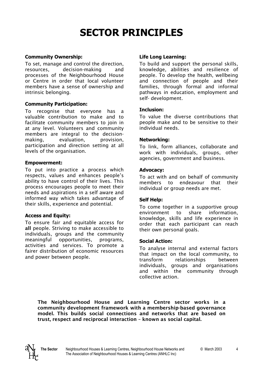# **SECTOR PRINCIPLES**

### **Community Ownership:**

To set, manage and control the direction, resources, decision-making and processes of the Neighbourhood House or Centre in order that local volunteer members have a sense of ownership and intrinsic belonging.

## **Community Participation:**

To recognise that everyone has a valuable contribution to make and to facilitate community members to join in at any level. Volunteers and community members are integral to the decisionmaking, evaluation, provision, participation and direction setting at all levels of the organisation.

### **Empowerment:**

To put into practice a process which respects, values and enhances people's ability to have control of their lives. This process encourages people to meet their needs and aspirations in a self aware and informed way which takes advantage of their skills, experience and potential.

# **Access and Equity:**

To ensure fair and equitable access for all people. Striving to make accessible to individuals, groups and the community meaningful opportunities, programs, activities and services. To promote a fairer distribution of economic resources and power between people.

## **Life Long Learning:**

To build and support the personal skills, knowledge, abilities and resilience of people. To develop the health, wellbeing and connection of people and their families, through formal and informal pathways in education, employment and self- development.

## **Inclusion:**

To value the diverse contributions that people make and to be sensitive to their individual needs.

## **Networking:**

To link, form alliances, collaborate and work with individuals, groups, other agencies, government and business.

## **Advocacy:**

To act with and on behalf of community members to endeavour that their individual or group needs are met.

### **Self Help:**

To come together in a supportive group environment to share information, knowledge, skills and life experience in order that each participant can reach their own personal goals.

## **Social Action:**

To analyse internal and external factors that impact on the local community, to transform relationships between individuals, groups and organisations and within the community through collective action.

The Neighbourhood House and Learning Centre sector works in a community development framework with a membership-based governance model. This builds social connections and networks that are based on trust, respect and reciprocal interaction – known as social capital.

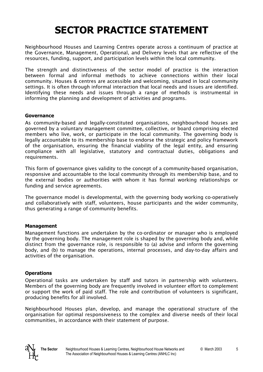# **SECTOR PRACTICE STATEMENT**

Neighbourhood Houses and Learning Centres operate across a continuum of practice at the Governance, Management, Operational, and Delivery levels that are reflective of the resources, funding, support, and participation levels within the local community.

The strength and distinctiveness of the sector model of practice is the interaction between formal and informal methods to achieve connections within their local community. Houses & centres are accessible and welcoming, situated in local community settings. It is often through informal interaction that local needs and issues are identified. Identifying these needs and issues through a range of methods is instrumental in informing the planning and development of activities and programs.

## **Governance**

As community-based and legally-constituted organisations, neighbourhood houses are governed by a voluntary management committee, collective, or board comprising elected members who live, work, or participate in the local community. The governing body is legally accountable to its membership base to endorse the strategic and policy framework of the organisation, ensuring the financial viability of the legal entity, and ensuring compliance with all legislative, statutory and contractual duties, obligations and requirements.

This form of governance gives validity to the concept of a community-based organisation, responsive and accountable to the local community through its membership base, and to the external bodies or authorities with whom it has formal working relationships or funding and service agreements.

The governance model is developmental, with the governing body working co-operatively and collaboratively with staff, volunteers, house participants and the wider community, thus generating a range of community benefits.

# **Management**

Management functions are undertaken by the co-ordinator or manager who is employed by the governing body. The management role is shaped by the governing body and, while distinct from the governance role, is responsible to (a) advise and inform the governing body, and (b) to manage the operations, internal processes, and day-to-day affairs and activities of the organisation.

# **Operations**

Operational tasks are undertaken by staff and tutors in partnership with volunteers. Members of the governing body are frequently involved in volunteer effort to complement or support the work of paid staff. The role and contribution of volunteers is significant, producing benefits for all involved.

Neighbourhood Houses plan, develop, and manage the operational structure of the organisation for optimal responsiveness to the complex and diverse needs of their local communities, in accordance with their statement of purpose.

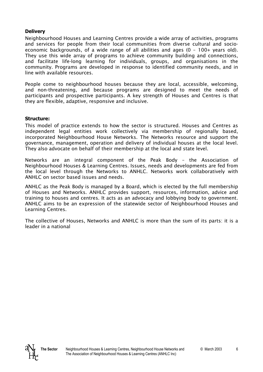## **Delivery**

Neighbourhood Houses and Learning Centres provide a wide array of activities, programs and services for people from their local communities from diverse cultural and socioeconomic backgrounds, of a wide range of all abilities and ages (0 – 100+ years old). They use this wide array of programs to achieve community building and connections, and facilitate life-long learning for individuals, groups, and organisations in the community. Programs are developed in response to identified community needs, and in line with available resources.

People come to neighbourhood houses because they are local, accessible, welcoming, and non-threatening, and because programs are designed to meet the needs of participants and prospective participants. A key strength of Houses and Centres is that they are flexible, adaptive, responsive and inclusive.

### **Structure:**

This model of practice extends to how the sector is structured. Houses and Centres as independent legal entities work collectively via membership of regionally based, incorporated Neighbourhood House Networks. The Networks resource and support the governance, management, operation and delivery of individual houses at the local level. They also advocate on behalf of their membership at the local and state level.

Networks are an integral component of the Peak Body – the Association of Neighbourhood Houses & Learning Centres. Issues, needs and developments are fed from the local level through the Networks to ANHLC. Networks work collaboratively with ANHLC on sector based issues and needs.

ANHLC as the Peak Body is managed by a Board, which is elected by the full membership of Houses and Networks. ANHLC provides support, resources, information, advice and training to houses and centres. It acts as an advocacy and lobbying body to government. ANHLC aims to be an expression of the statewide sector of Neighbourhood Houses and Learning Centres.

The collective of Houses, Networks and ANHLC is more than the sum of its parts: it is a leader in a national

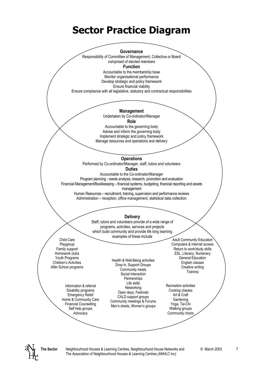# **Sector Practice Diagram**



**The Sector** Neighbourhood Houses & Learning Centres, Neighbourhood House Networks and © March 2003 7 The Association of Neighbourhood Houses & Learning Centres (ANHLC Inc)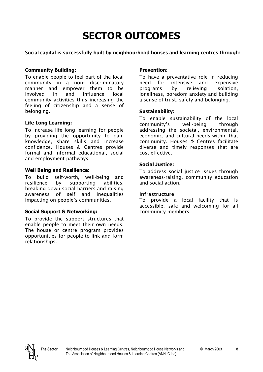# **SECTOR OUTCOMES**

Social capital is successfully built by neighbourhood houses and learning centres through:

## **Community Building:**

To enable people to feel part of the local community in a non- discriminatory manner and empower them to be involved in and influence local community activities thus increasing the feeling of citizenship and a sense of belonging.

# **Life Long Learning:**

To increase life long learning for people by providing the opportunity to gain knowledge, share skills and increase confidence. Houses & Centres provide formal and informal educational, social and employment pathways.

### **Well Being and Resilience:**

To build self-worth, well-being and resilience by supporting abilities, breaking down social barriers and raising awareness of self and inequalities impacting on people's communities.

### **Social Support & Networking:**

To provide the support structures that enable people to meet their own needs. The house or centre program provides opportunities for people to link and form relationships.

## **Prevention:**

To have a preventative role in reducing need for intensive and expensive programs by relieving isolation, loneliness, boredom anxiety and building a sense of trust, safety and belonging.

### **Sustainability:**

To enable sustainability of the local community's well-being through addressing the societal, environmental, economic, and cultural needs within that community. Houses & Centres facilitate diverse and timely responses that are cost effective.

### **Social Justice:**

To address social justice issues through awareness-raising, community education and social action.

### Infrastructure

To provide a local facility that is accessible, safe and welcoming for all community members.

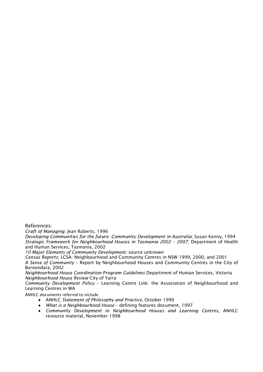References:

*Craft of Managing*; Jean Roberts, 1996

*Developing Communities for the future: Community Development in Australia*; Susan Kenny, 1994 *Strategic Framework for Neighbourhood Houses in Tasmania 2002 – 2007*; Department of Health and Human Services, Tasmania, 2002

*10 Major Elements of Community Development;* source unknown

*Census Reports*; LCSA: Neighbourhood and Community Centres in NSW 1999, 2000, and 2001 *A Sense of Community* – Report by Neighbourhood Houses and Community Centres in the City of Boroondara, 2002

*Neighbourhood House Coordination Program Guidelines* Department of Human Services, Victoria *Neighbourhood House Review* City of Yarra

*Community Development Policy* – Learning Centre Link: the Association of Neighbourhood and Learning Centres in WA

ANHLC documents referred to include

- ♦ ANHLC *Statement of Philosophy and Practice*, October 1990
- ♦ *What is a Neighbourhood House* – defining features document, 1997
- ♦ *Community Development in Neighbourhood Houses and Learning Centres,* ANHLC resource material, November 1998